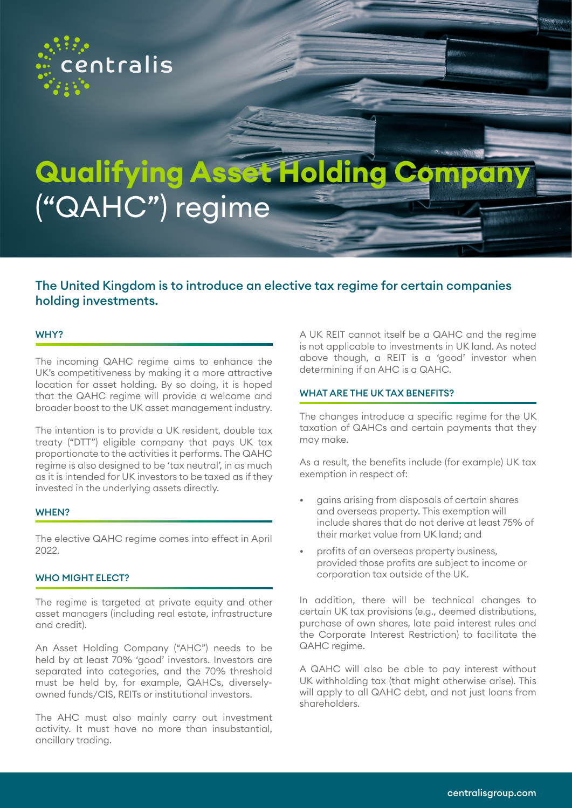

# **Qualifying Asset Holding Compan** ("QAHC") regime

## The United Kingdom is to introduce an elective tax regime for certain companies holding investments.

#### WHY?

The incoming QAHC regime aims to enhance the UK's competitiveness by making it a more attractive location for asset holding. By so doing, it is hoped that the QAHC regime will provide a welcome and broader boost to the UK asset management industry.

The intention is to provide a UK resident, double tax treaty ("DTT") eligible company that pays UK tax proportionate to the activities it performs. The QAHC regime is also designed to be 'tax neutral', in as much as it is intended for UK investors to be taxed as if they invested in the underlying assets directly.

#### WHEN?

The elective QAHC regime comes into effect in April 2022.

#### WHO MIGHT ELECT?

The regime is targeted at private equity and other asset managers (including real estate, infrastructure and credit).

An Asset Holding Company ("AHC") needs to be held by at least 70% 'good' investors. Investors are separated into categories, and the 70% threshold must be held by, for example, QAHCs, diverselyowned funds/CIS, REITs or institutional investors.

The AHC must also mainly carry out investment activity. It must have no more than insubstantial, ancillary trading.

A UK REIT cannot itself be a QAHC and the regime is not applicable to investments in UK land. As noted above though, a REIT is a 'good' investor when determining if an AHC is a QAHC.

#### WHAT ARE THE UK TAX BENEFITS?

The changes introduce a specific regime for the UK taxation of QAHCs and certain payments that they may make.

As a result, the benefits include (for example) UK tax exemption in respect of:

- gains arising from disposals of certain shares and overseas property. This exemption will include shares that do not derive at least 75% of their market value from UK land; and
- profits of an overseas property business, provided those profits are subject to income or corporation tax outside of the UK.

In addition, there will be technical changes to certain UK tax provisions (e.g., deemed distributions, purchase of own shares, late paid interest rules and the Corporate Interest Restriction) to facilitate the QAHC regime.

A QAHC will also be able to pay interest without UK withholding tax (that might otherwise arise). This will apply to all QAHC debt, and not just loans from shareholders.